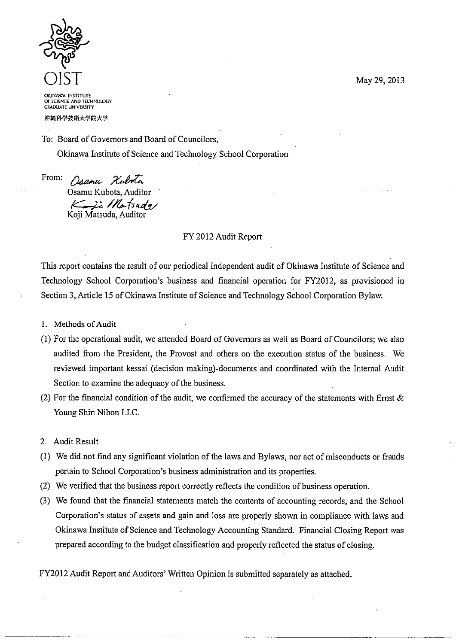May 29, 2013



**OKINAWA INSTITUTE** OF SCIENCE AND TECHNOLOGY **GRADUATE UNIVERSITY** 

沖縄科学技術大学院大学

To: Board of Governors and Board of Councilors,

Okinawa Institute of Science and Technology School Corporation

From:

Daamu Kubota Osamu Kubota, Auditor Ki Martsuda

# FY 2012 Audit Report

This report contains the result of our periodical independent audit of Okinawa Institute of Science and Technology School Corporation's business and financial operation for FY2012, as provisioned in Section 3, Article 15 of Okinawa Institute of Science and Technology School Corporation Bylaw.

- 1. Methods of Audit
- (1) For the operational audit, we attended Board of Governors as well as Board of Councilors; we also audited from the President, the Provost and others on the execution status of the business. We reviewed important kessai (decision making)-documents and coordinated with the Internal Audit Section to examine the adequacy of the business.
- (2) For the financial condition of the audit, we confirmed the accuracy of the statements with Ernst  $\&$ Young Shin Nihon LLC.
- 2. Audit Result
- (1) We did not find any significant violation of the laws and Bylaws, nor act of misconducts or frauds pertain to School Corporation's business administration and its properties.
- (2) We verified that the business report correctly reflects the condition of business operation.
- (3) We found that the financial statements match the contents of accounting records, and the School Corporation's status of assets and gain and loss are properly shown in compliance with laws and Okinawa Institute of Science and Technology Accounting Standard. Financial Closing Report was prepared according to the budget classification and properly reflected the status of closing.

FY2012 Audit Report and Auditors' Written Opinion is submitted separately as attached.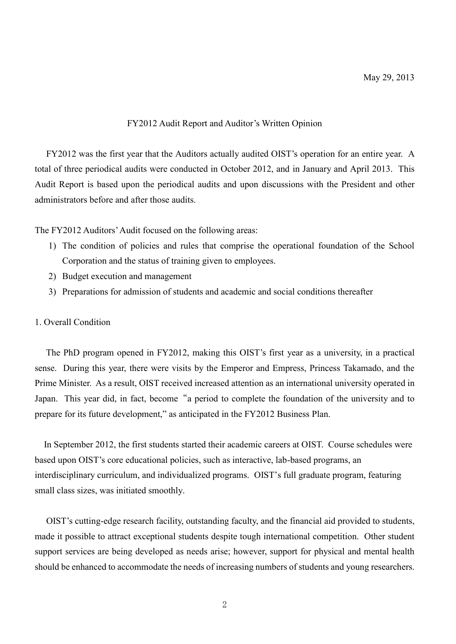# FY2012 Audit Report and Auditor's Written Opinion

 FY2012 was the first year that the Auditors actually audited OIST's operation for an entire year. A total of three periodical audits were conducted in October 2012, and in January and April 2013. This Audit Report is based upon the periodical audits and upon discussions with the President and other administrators before and after those audits.

The FY2012 Auditors' Audit focused on the following areas:

- 1) The condition of policies and rules that comprise the operational foundation of the School Corporation and the status of training given to employees.
- 2) Budget execution and management
- 3) Preparations for admission of students and academic and social conditions thereafter

# 1. Overall Condition

 The PhD program opened in FY2012, making this OIST's first year as a university, in a practical sense. During this year, there were visits by the Emperor and Empress, Princess Takamado, and the Prime Minister. As a result, OIST received increased attention as an international university operated in Japan. This year did, in fact, become "a period to complete the foundation of the university and to prepare for its future development," as anticipated in the FY2012 Business Plan.

 In September 2012, the first students started their academic careers at OIST. Course schedules were based upon OIST's core educational policies, such as interactive, lab-based programs, an interdisciplinary curriculum, and individualized programs. OIST's full graduate program, featuring small class sizes, was initiated smoothly.

 OIST's cutting-edge research facility, outstanding faculty, and the financial aid provided to students, made it possible to attract exceptional students despite tough international competition. Other student support services are being developed as needs arise; however, support for physical and mental health should be enhanced to accommodate the needs of increasing numbers of students and young researchers.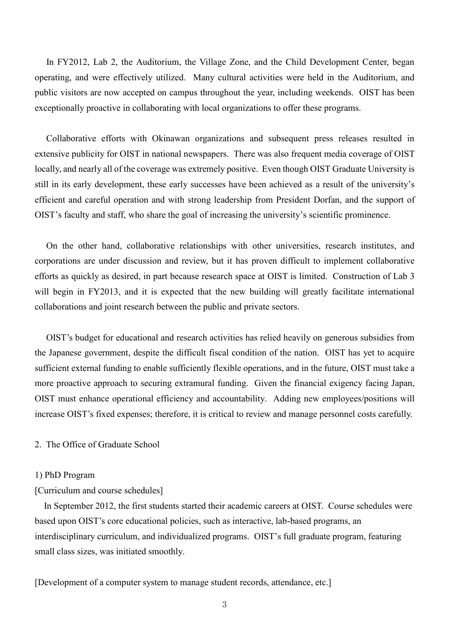In FY2012, Lab 2, the Auditorium, the Village Zone, and the Child Development Center, began operating, and were effectively utilized. Many cultural activities were held in the Auditorium, and public visitors are now accepted on campus throughout the year, including weekends. OIST has been exceptionally proactive in collaborating with local organizations to offer these programs.

 Collaborative efforts with Okinawan organizations and subsequent press releases resulted in extensive publicity for OIST in national newspapers. There was also frequent media coverage of OIST locally, and nearly all of the coverage was extremely positive. Even though OIST Graduate University is still in its early development, these early successes have been achieved as a result of the university's efficient and careful operation and with strong leadership from President Dorfan, and the support of OIST's faculty and staff, who share the goal of increasing the university's scientific prominence.

 On the other hand, collaborative relationships with other universities, research institutes, and corporations are under discussion and review, but it has proven difficult to implement collaborative efforts as quickly as desired, in part because research space at OIST is limited. Construction of Lab 3 will begin in FY2013, and it is expected that the new building will greatly facilitate international collaborations and joint research between the public and private sectors.

 OIST's budget for educational and research activities has relied heavily on generous subsidies from the Japanese government, despite the difficult fiscal condition of the nation. OIST has yet to acquire sufficient external funding to enable sufficiently flexible operations, and in the future, OIST must take a more proactive approach to securing extramural funding. Given the financial exigency facing Japan, OIST must enhance operational efficiency and accountability. Adding new employees/positions will increase OIST's fixed expenses; therefore, it is critical to review and manage personnel costs carefully.

# 2. The Office of Graduate School

#### 1) PhD Program

#### [Curriculum and course schedules]

 In September 2012, the first students started their academic careers at OIST. Course schedules were based upon OIST's core educational policies, such as interactive, lab-based programs, an interdisciplinary curriculum, and individualized programs. OIST's full graduate program, featuring small class sizes, was initiated smoothly.

[Development of a computer system to manage student records, attendance, etc.]

3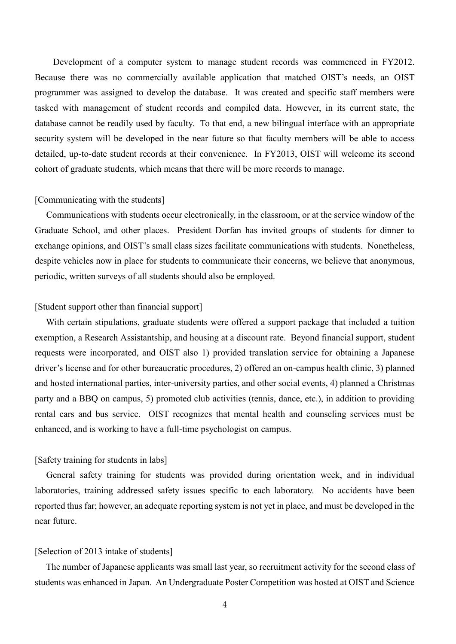Development of a computer system to manage student records was commenced in FY2012. Because there was no commercially available application that matched OIST's needs, an OIST programmer was assigned to develop the database. It was created and specific staff members were tasked with management of student records and compiled data. However, in its current state, the database cannot be readily used by faculty. To that end, a new bilingual interface with an appropriate security system will be developed in the near future so that faculty members will be able to access detailed, up-to-date student records at their convenience. In FY2013, OIST will welcome its second cohort of graduate students, which means that there will be more records to manage.

#### [Communicating with the students]

 Communications with students occur electronically, in the classroom, or at the service window of the Graduate School, and other places. President Dorfan has invited groups of students for dinner to exchange opinions, and OIST's small class sizes facilitate communications with students. Nonetheless, despite vehicles now in place for students to communicate their concerns, we believe that anonymous, periodic, written surveys of all students should also be employed.

# [Student support other than financial support]

 With certain stipulations, graduate students were offered a support package that included a tuition exemption, a Research Assistantship, and housing at a discount rate. Beyond financial support, student requests were incorporated, and OIST also 1) provided translation service for obtaining a Japanese driver's license and for other bureaucratic procedures, 2) offered an on-campus health clinic, 3) planned and hosted international parties, inter-university parties, and other social events, 4) planned a Christmas party and a BBQ on campus, 5) promoted club activities (tennis, dance, etc.), in addition to providing rental cars and bus service. OIST recognizes that mental health and counseling services must be enhanced, and is working to have a full-time psychologist on campus.

# [Safety training for students in labs]

 General safety training for students was provided during orientation week, and in individual laboratories, training addressed safety issues specific to each laboratory. No accidents have been reported thus far; however, an adequate reporting system is not yet in place, and must be developed in the near future.

#### [Selection of 2013 intake of students]

 The number of Japanese applicants was small last year, so recruitment activity for the second class of students was enhanced in Japan. An Undergraduate Poster Competition was hosted at OIST and Science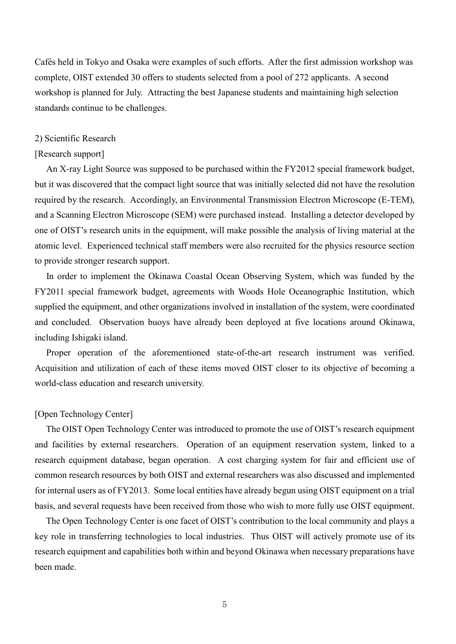Cafés held in Tokyo and Osaka were examples of such efforts. After the first admission workshop was complete, OIST extended 30 offers to students selected from a pool of 272 applicants. A second workshop is planned for July. Attracting the best Japanese students and maintaining high selection standards continue to be challenges.

#### 2) Scientific Research

#### [Research support]

 An X-ray Light Source was supposed to be purchased within the FY2012 special framework budget, but it was discovered that the compact light source that was initially selected did not have the resolution required by the research. Accordingly, an Environmental Transmission Electron Microscope (E-TEM), and a Scanning Electron Microscope (SEM) were purchased instead. Installing a detector developed by one of OIST's research units in the equipment, will make possible the analysis of living material at the atomic level. Experienced technical staff members were also recruited for the physics resource section to provide stronger research support.

 In order to implement the Okinawa Coastal Ocean Observing System, which was funded by the FY2011 special framework budget, agreements with Woods Hole Oceanographic Institution, which supplied the equipment, and other organizations involved in installation of the system, were coordinated and concluded. Observation buoys have already been deployed at five locations around Okinawa, including Ishigaki island.

 Proper operation of the aforementioned state-of-the-art research instrument was verified. Acquisition and utilization of each of these items moved OIST closer to its objective of becoming a world-class education and research university.

# [Open Technology Center]

 The OIST Open Technology Center was introduced to promote the use of OIST's research equipment and facilities by external researchers. Operation of an equipment reservation system, linked to a research equipment database, began operation. A cost charging system for fair and efficient use of common research resources by both OIST and external researchers was also discussed and implemented for internal users as of FY2013. Some local entities have already begun using OIST equipment on a trial basis, and several requests have been received from those who wish to more fully use OIST equipment.

 The Open Technology Center is one facet of OIST's contribution to the local community and plays a key role in transferring technologies to local industries. Thus OIST will actively promote use of its research equipment and capabilities both within and beyond Okinawa when necessary preparations have been made.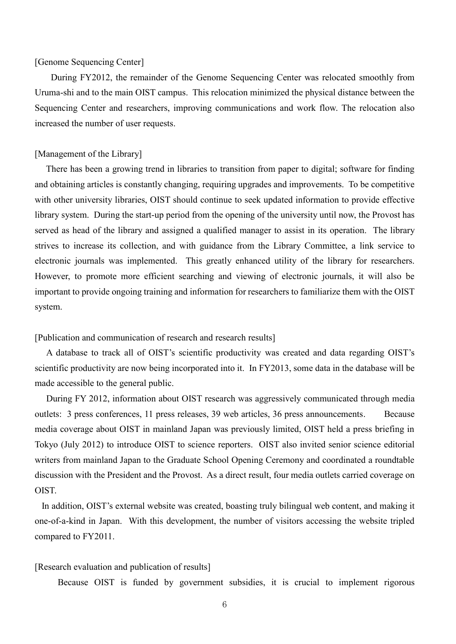#### [Genome Sequencing Center]

 During FY2012, the remainder of the Genome Sequencing Center was relocated smoothly from Uruma-shi and to the main OIST campus. This relocation minimized the physical distance between the Sequencing Center and researchers, improving communications and work flow. The relocation also increased the number of user requests.

# [Management of the Library]

 There has been a growing trend in libraries to transition from paper to digital; software for finding and obtaining articles is constantly changing, requiring upgrades and improvements. To be competitive with other university libraries, OIST should continue to seek updated information to provide effective library system. During the start-up period from the opening of the university until now, the Provost has served as head of the library and assigned a qualified manager to assist in its operation. The library strives to increase its collection, and with guidance from the Library Committee, a link service to electronic journals was implemented. This greatly enhanced utility of the library for researchers. However, to promote more efficient searching and viewing of electronic journals, it will also be important to provide ongoing training and information for researchers to familiarize them with the OIST system.

[Publication and communication of research and research results]

 A database to track all of OIST's scientific productivity was created and data regarding OIST's scientific productivity are now being incorporated into it. In FY2013, some data in the database will be made accessible to the general public.

 During FY 2012, information about OIST research was aggressively communicated through media outlets: 3 press conferences, 11 press releases, 39 web articles, 36 press announcements. Because media coverage about OIST in mainland Japan was previously limited, OIST held a press briefing in Tokyo (July 2012) to introduce OIST to science reporters. OIST also invited senior science editorial writers from mainland Japan to the Graduate School Opening Ceremony and coordinated a roundtable discussion with the President and the Provost. As a direct result, four media outlets carried coverage on OIST.

 In addition, OIST's external website was created, boasting truly bilingual web content, and making it one-of-a-kind in Japan. With this development, the number of visitors accessing the website tripled compared to FY2011.

# [Research evaluation and publication of results]

Because OIST is funded by government subsidies, it is crucial to implement rigorous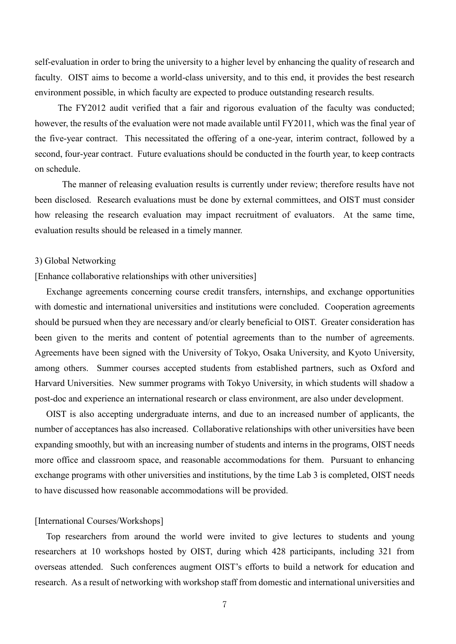self-evaluation in order to bring the university to a higher level by enhancing the quality of research and faculty. OIST aims to become a world-class university, and to this end, it provides the best research environment possible, in which faculty are expected to produce outstanding research results.

The FY2012 audit verified that a fair and rigorous evaluation of the faculty was conducted; however, the results of the evaluation were not made available until FY2011, which was the final year of the five-year contract. This necessitated the offering of a one-year, interim contract, followed by a second, four-year contract. Future evaluations should be conducted in the fourth year, to keep contracts on schedule.

 The manner of releasing evaluation results is currently under review; therefore results have not been disclosed. Research evaluations must be done by external committees, and OIST must consider how releasing the research evaluation may impact recruitment of evaluators. At the same time, evaluation results should be released in a timely manner.

#### 3) Global Networking

[Enhance collaborative relationships with other universities]

 Exchange agreements concerning course credit transfers, internships, and exchange opportunities with domestic and international universities and institutions were concluded. Cooperation agreements should be pursued when they are necessary and/or clearly beneficial to OIST. Greater consideration has been given to the merits and content of potential agreements than to the number of agreements. Agreements have been signed with the University of Tokyo, Osaka University, and Kyoto University, among others. Summer courses accepted students from established partners, such as Oxford and Harvard Universities. New summer programs with Tokyo University, in which students will shadow a post-doc and experience an international research or class environment, are also under development.

 OIST is also accepting undergraduate interns, and due to an increased number of applicants, the number of acceptances has also increased. Collaborative relationships with other universities have been expanding smoothly, but with an increasing number of students and interns in the programs, OIST needs more office and classroom space, and reasonable accommodations for them. Pursuant to enhancing exchange programs with other universities and institutions, by the time Lab 3 is completed, OIST needs to have discussed how reasonable accommodations will be provided.

#### [International Courses/Workshops]

 Top researchers from around the world were invited to give lectures to students and young researchers at 10 workshops hosted by OIST, during which 428 participants, including 321 from overseas attended. Such conferences augment OIST's efforts to build a network for education and research. As a result of networking with workshop staff from domestic and international universities and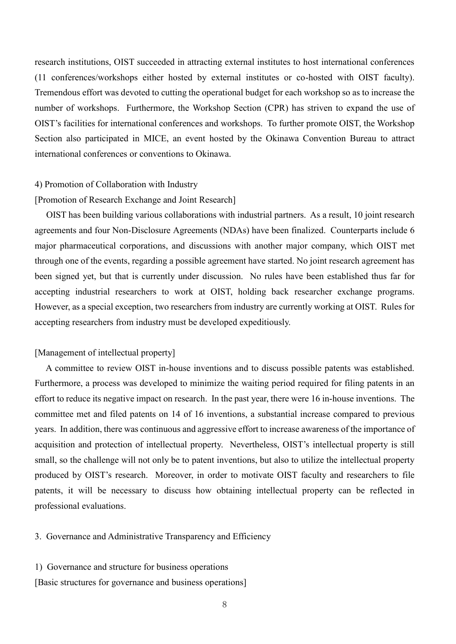research institutions, OIST succeeded in attracting external institutes to host international conferences (11 conferences/workshops either hosted by external institutes or co-hosted with OIST faculty). Tremendous effort was devoted to cutting the operational budget for each workshop so as to increase the number of workshops. Furthermore, the Workshop Section (CPR) has striven to expand the use of OIST's facilities for international conferences and workshops. To further promote OIST, the Workshop Section also participated in MICE, an event hosted by the Okinawa Convention Bureau to attract international conferences or conventions to Okinawa.

# 4) Promotion of Collaboration with Industry

# [Promotion of Research Exchange and Joint Research]

 OIST has been building various collaborations with industrial partners. As a result, 10 joint research agreements and four Non-Disclosure Agreements (NDAs) have been finalized. Counterparts include 6 major pharmaceutical corporations, and discussions with another major company, which OIST met through one of the events, regarding a possible agreement have started. No joint research agreement has been signed yet, but that is currently under discussion. No rules have been established thus far for accepting industrial researchers to work at OIST, holding back researcher exchange programs. However, as a special exception, two researchers from industry are currently working at OIST. Rules for accepting researchers from industry must be developed expeditiously.

# [Management of intellectual property]

 A committee to review OIST in-house inventions and to discuss possible patents was established. Furthermore, a process was developed to minimize the waiting period required for filing patents in an effort to reduce its negative impact on research. In the past year, there were 16 in-house inventions. The committee met and filed patents on 14 of 16 inventions, a substantial increase compared to previous years. In addition, there was continuous and aggressive effort to increase awareness of the importance of acquisition and protection of intellectual property. Nevertheless, OIST's intellectual property is still small, so the challenge will not only be to patent inventions, but also to utilize the intellectual property produced by OIST's research. Moreover, in order to motivate OIST faculty and researchers to file patents, it will be necessary to discuss how obtaining intellectual property can be reflected in professional evaluations.

# 3. Governance and Administrative Transparency and Efficiency

#### 1) Governance and structure for business operations

[Basic structures for governance and business operations]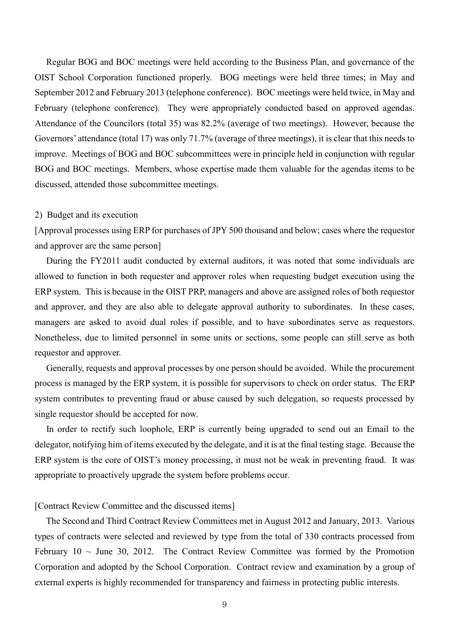Regular BOG and BOC meetings were held according to the Business Plan, and governance of the OIST School Corporation functioned properly. BOG meetings were held three times; in May and September 2012 and February 2013 (telephone conference). BOC meetings were held twice, in May and February (telephone conference). They were appropriately conducted based on approved agendas. Attendance of the Councilors (total 35) was 82.2% (average of two meetings). However, because the Governors' attendance (total 17) was only 71.7% (average of three meetings), it is clear that this needs to improve. Meetings of BOG and BOC subcommittees were in principle held in conjunction with regular BOG and BOC meetings. Members, whose expertise made them valuable for the agendas items to be discussed, attended those subcommittee meetings.

#### 2) Budget and its execution

[Approval processes using ERP for purchases of JPY 500 thousand and below; cases where the requestor and approver are the same person]

 During the FY2011 audit conducted by external auditors, it was noted that some individuals are allowed to function in both requester and approver roles when requesting budget execution using the ERP system. This is because in the OIST PRP, managers and above are assigned roles of both requestor and approver, and they are also able to delegate approval authority to subordinates. In these cases, managers are asked to avoid dual roles if possible, and to have subordinates serve as requestors. Nonetheless, due to limited personnel in some units or sections, some people can still serve as both requestor and approver.

 Generally, requests and approval processes by one person should be avoided. While the procurement process is managed by the ERP system, it is possible for supervisors to check on order status. The ERP system contributes to preventing fraud or abuse caused by such delegation, so requests processed by single requestor should be accepted for now.

 In order to rectify such loophole, ERP is currently being upgraded to send out an Email to the delegator, notifying him of items executed by the delegate, and it is at the final testing stage. Because the ERP system is the core of OIST's money processing, it must not be weak in preventing fraud. It was appropriate to proactively upgrade the system before problems occur.

# [Contract Review Committee and the discussed items]

 The Second and Third Contract Review Committees met in August 2012 and January, 2013. Various types of contracts were selected and reviewed by type from the total of 330 contracts processed from February  $10 \sim$  June 30, 2012. The Contract Review Committee was formed by the Promotion Corporation and adopted by the School Corporation. Contract review and examination by a group of external experts is highly recommended for transparency and fairness in protecting public interests.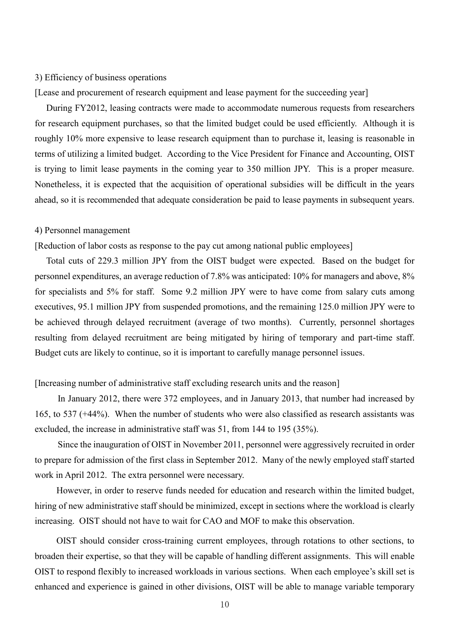#### 3) Efficiency of business operations

[Lease and procurement of research equipment and lease payment for the succeeding year]

 During FY2012, leasing contracts were made to accommodate numerous requests from researchers for research equipment purchases, so that the limited budget could be used efficiently. Although it is roughly 10% more expensive to lease research equipment than to purchase it, leasing is reasonable in terms of utilizing a limited budget. According to the Vice President for Finance and Accounting, OIST is trying to limit lease payments in the coming year to 350 million JPY. This is a proper measure. Nonetheless, it is expected that the acquisition of operational subsidies will be difficult in the years ahead, so it is recommended that adequate consideration be paid to lease payments in subsequent years.

# 4) Personnel management

[Reduction of labor costs as response to the pay cut among national public employees]

 Total cuts of 229.3 million JPY from the OIST budget were expected. Based on the budget for personnel expenditures, an average reduction of 7.8% was anticipated: 10% for managers and above, 8% for specialists and 5% for staff. Some 9.2 million JPY were to have come from salary cuts among executives, 95.1 million JPY from suspended promotions, and the remaining 125.0 million JPY were to be achieved through delayed recruitment (average of two months). Currently, personnel shortages resulting from delayed recruitment are being mitigated by hiring of temporary and part-time staff. Budget cuts are likely to continue, so it is important to carefully manage personnel issues.

# [Increasing number of administrative staff excluding research units and the reason]

In January 2012, there were 372 employees, and in January 2013, that number had increased by 165, to 537 (+44%). When the number of students who were also classified as research assistants was excluded, the increase in administrative staff was 51, from 144 to 195 (35%).

Since the inauguration of OIST in November 2011, personnel were aggressively recruited in order to prepare for admission of the first class in September 2012. Many of the newly employed staff started work in April 2012. The extra personnel were necessary.

However, in order to reserve funds needed for education and research within the limited budget, hiring of new administrative staff should be minimized, except in sections where the workload is clearly increasing. OIST should not have to wait for CAO and MOF to make this observation.

OIST should consider cross-training current employees, through rotations to other sections, to broaden their expertise, so that they will be capable of handling different assignments. This will enable OIST to respond flexibly to increased workloads in various sections. When each employee's skill set is enhanced and experience is gained in other divisions, OIST will be able to manage variable temporary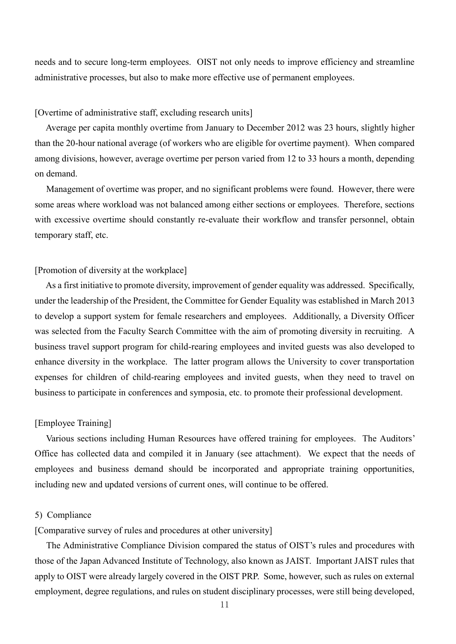needs and to secure long-term employees. OIST not only needs to improve efficiency and streamline administrative processes, but also to make more effective use of permanent employees.

# [Overtime of administrative staff, excluding research units]

 Average per capita monthly overtime from January to December 2012 was 23 hours, slightly higher than the 20-hour national average (of workers who are eligible for overtime payment). When compared among divisions, however, average overtime per person varied from 12 to 33 hours a month, depending on demand.

 Management of overtime was proper, and no significant problems were found. However, there were some areas where workload was not balanced among either sections or employees. Therefore, sections with excessive overtime should constantly re-evaluate their workflow and transfer personnel, obtain temporary staff, etc.

#### [Promotion of diversity at the workplace]

 As a first initiative to promote diversity, improvement of gender equality was addressed. Specifically, under the leadership of the President, the Committee for Gender Equality was established in March 2013 to develop a support system for female researchers and employees. Additionally, a Diversity Officer was selected from the Faculty Search Committee with the aim of promoting diversity in recruiting. A business travel support program for child-rearing employees and invited guests was also developed to enhance diversity in the workplace. The latter program allows the University to cover transportation expenses for children of child-rearing employees and invited guests, when they need to travel on business to participate in conferences and symposia, etc. to promote their professional development.

#### [Employee Training]

 Various sections including Human Resources have offered training for employees. The Auditors' Office has collected data and compiled it in January (see attachment). We expect that the needs of employees and business demand should be incorporated and appropriate training opportunities, including new and updated versions of current ones, will continue to be offered.

#### 5) Compliance

[Comparative survey of rules and procedures at other university]

 The Administrative Compliance Division compared the status of OIST's rules and procedures with those of the Japan Advanced Institute of Technology, also known as JAIST. Important JAIST rules that apply to OIST were already largely covered in the OIST PRP. Some, however, such as rules on external employment, degree regulations, and rules on student disciplinary processes, were still being developed,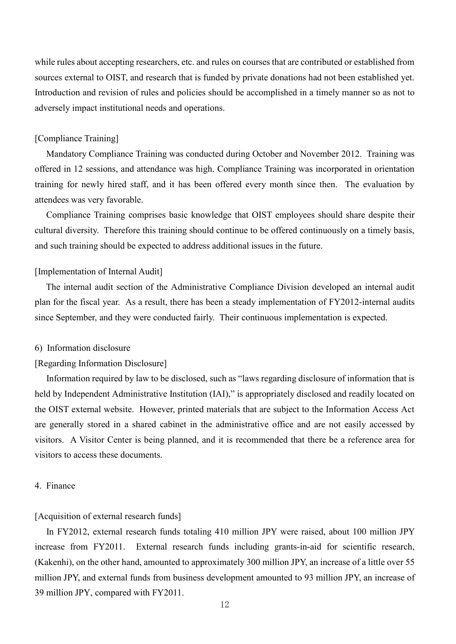while rules about accepting researchers, etc. and rules on courses that are contributed or established from sources external to OIST, and research that is funded by private donations had not been established yet. Introduction and revision of rules and policies should be accomplished in a timely manner so as not to adversely impact institutional needs and operations.

# [Compliance Training]

 Mandatory Compliance Training was conducted during October and November 2012. Training was offered in 12 sessions, and attendance was high. Compliance Training was incorporated in orientation training for newly hired staff, and it has been offered every month since then. The evaluation by attendees was very favorable.

 Compliance Training comprises basic knowledge that OIST employees should share despite their cultural diversity. Therefore this training should continue to be offered continuously on a timely basis, and such training should be expected to address additional issues in the future.

# [Implementation of Internal Audit]

 The internal audit section of the Administrative Compliance Division developed an internal audit plan for the fiscal year. As a result, there has been a steady implementation of FY2012-internal audits since September, and they were conducted fairly. Their continuous implementation is expected.

#### 6) Information disclosure

#### [Regarding Information Disclosure]

 Information required by law to be disclosed, such as "laws regarding disclosure of information that is held by Independent Administrative Institution (IAI)," is appropriately disclosed and readily located on the OIST external website. However, printed materials that are subject to the Information Access Act are generally stored in a shared cabinet in the administrative office and are not easily accessed by visitors. A Visitor Center is being planned, and it is recommended that there be a reference area for visitors to access these documents.

#### 4. Finance

#### [Acquisition of external research funds]

 In FY2012, external research funds totaling 410 million JPY were raised, about 100 million JPY increase from FY2011. External research funds including grants-in-aid for scientific research, (Kakenhi), on the other hand, amounted to approximately 300 million JPY, an increase of a little over 55 million JPY, and external funds from business development amounted to 93 million JPY, an increase of 39 million JPY, compared with FY2011.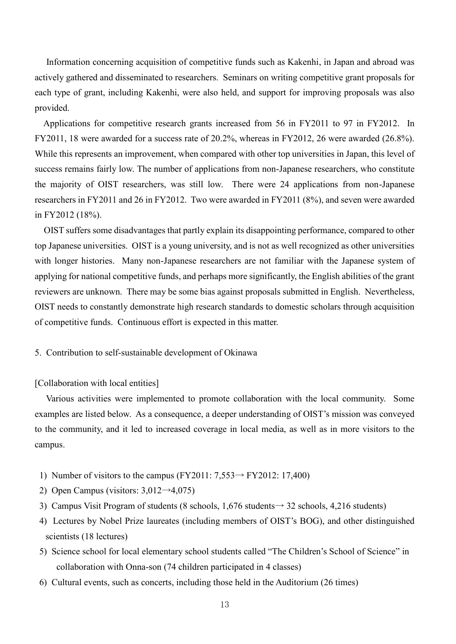Information concerning acquisition of competitive funds such as Kakenhi, in Japan and abroad was actively gathered and disseminated to researchers. Seminars on writing competitive grant proposals for each type of grant, including Kakenhi, were also held, and support for improving proposals was also provided.

 Applications for competitive research grants increased from 56 in FY2011 to 97 in FY2012. In FY2011, 18 were awarded for a success rate of 20.2%, whereas in FY2012, 26 were awarded (26.8%). While this represents an improvement, when compared with other top universities in Japan, this level of success remains fairly low. The number of applications from non-Japanese researchers, who constitute the majority of OIST researchers, was still low. There were 24 applications from non-Japanese researchers in FY2011 and 26 in FY2012. Two were awarded in FY2011 (8%), and seven were awarded in FY2012 (18%).

 OIST suffers some disadvantages that partly explain its disappointing performance, compared to other top Japanese universities. OIST is a young university, and is not as well recognized as other universities with longer histories. Many non-Japanese researchers are not familiar with the Japanese system of applying for national competitive funds, and perhaps more significantly, the English abilities of the grant reviewers are unknown. There may be some bias against proposals submitted in English. Nevertheless, OIST needs to constantly demonstrate high research standards to domestic scholars through acquisition of competitive funds. Continuous effort is expected in this matter.

5. Contribution to self-sustainable development of Okinawa

# [Collaboration with local entities]

 Various activities were implemented to promote collaboration with the local community. Some examples are listed below. As a consequence, a deeper understanding of OIST's mission was conveyed to the community, and it led to increased coverage in local media, as well as in more visitors to the campus.

- 1) Number of visitors to the campus (FY2011:  $7,553 \rightarrow$  FY2012: 17,400)
- 2) Open Campus (visitors:  $3,012 \rightarrow 4,075$ )
- 3) Campus Visit Program of students (8 schools,  $1,676$  students $\rightarrow$  32 schools, 4,216 students)
- 4) Lectures by Nobel Prize laureates (including members of OIST's BOG), and other distinguished scientists (18 lectures)
- 5) Science school for local elementary school students called "The Children's School of Science" in collaboration with Onna-son (74 children participated in 4 classes)
- 6) Cultural events, such as concerts, including those held in the Auditorium (26 times)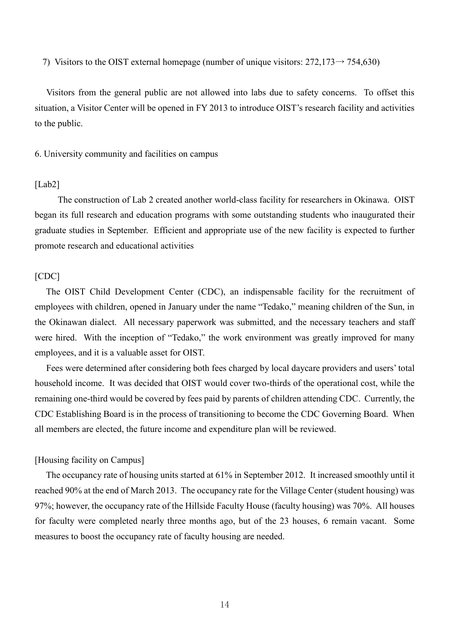7) Visitors to the OIST external homepage (number of unique visitors:  $272,173 \rightarrow 754,630$ )

 Visitors from the general public are not allowed into labs due to safety concerns. To offset this situation, a Visitor Center will be opened in FY 2013 to introduce OIST's research facility and activities to the public.

6. University community and facilities on campus

### [Lab2]

The construction of Lab 2 created another world-class facility for researchers in Okinawa. OIST began its full research and education programs with some outstanding students who inaugurated their graduate studies in September. Efficient and appropriate use of the new facility is expected to further promote research and educational activities

# [CDC]

 The OIST Child Development Center (CDC), an indispensable facility for the recruitment of employees with children, opened in January under the name "Tedako," meaning children of the Sun, in the Okinawan dialect. All necessary paperwork was submitted, and the necessary teachers and staff were hired. With the inception of "Tedako," the work environment was greatly improved for many employees, and it is a valuable asset for OIST.

 Fees were determined after considering both fees charged by local daycare providers and users' total household income. It was decided that OIST would cover two-thirds of the operational cost, while the remaining one-third would be covered by fees paid by parents of children attending CDC. Currently, the CDC Establishing Board is in the process of transitioning to become the CDC Governing Board. When all members are elected, the future income and expenditure plan will be reviewed.

# [Housing facility on Campus]

 The occupancy rate of housing units started at 61% in September 2012. It increased smoothly until it reached 90% at the end of March 2013. The occupancy rate for the Village Center (student housing) was 97%; however, the occupancy rate of the Hillside Faculty House (faculty housing) was 70%. All houses for faculty were completed nearly three months ago, but of the 23 houses, 6 remain vacant. Some measures to boost the occupancy rate of faculty housing are needed.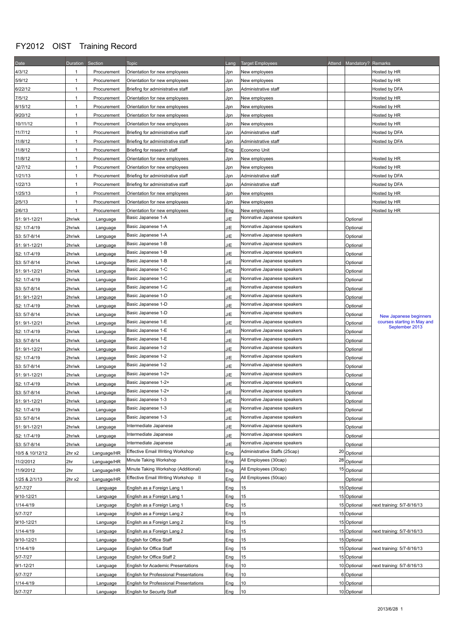# FY2012 OIST Training Record

| Date            | Duration Section |                      | <b>Topic</b>                                  | Lang | <b>Target Employees</b>       |    | Attend Mandatory? Remarks |                                                                         |
|-----------------|------------------|----------------------|-----------------------------------------------|------|-------------------------------|----|---------------------------|-------------------------------------------------------------------------|
| 4/3/12          | 1                | Procurement          | Orientation for new employees                 | Jpn  | New employees                 |    |                           | Hosted by HR                                                            |
| 5/9/12          | 1                | Procurement          | Orientation for new employees                 | Jpn  | New employees                 |    |                           | Hosted by HR                                                            |
| 6/22/12         | 1                | Procurement          | Briefing for administrative staff             | Jpn  | Administrative staff          |    |                           | Hosted by DFA                                                           |
| 7/5/12          | 1                | Procurement          | Orientation for new employees                 | Jpn  | New employees                 |    |                           | Hosted by HR                                                            |
| 8/15/12         | 1                | Procurement          | Orientation for new employees                 | Jpn  | New employees                 |    |                           | Hosted by HR                                                            |
| 9/20/12         | 1                | Procurement          | Orientation for new employees                 | Jpn  | New employees                 |    |                           | Hosted by HR                                                            |
| 10/11/12        | 1                | Procurement          | Orientation for new employees                 | Jpn  | New employees                 |    |                           | Hosted by HR                                                            |
| 11/7/12         | 1                | Procurement          | Briefing for administrative staff             | Jpn  | Administrative staff          |    |                           | Hosted by DFA                                                           |
| 11/8/12         | $\mathbf{1}$     | Procurement          | Briefing for administrative staff             | Jpn  | Administrative staff          |    |                           | Hosted by DFA                                                           |
| 11/8/12         | $\mathbf{1}$     | Procurement          | Briefing for research staff                   | Eng  | Economo Unit                  |    |                           |                                                                         |
| 11/8/12         | 1                | Procurement          | Orientation for new employees                 | Jpn  | New employees                 |    |                           | Hosted by HR                                                            |
| 12/7/12         | $\mathbf{1}$     | Procurement          | Orientation for new employees                 | Jpn  | New employees                 |    |                           | Hosted by HR                                                            |
| 1/21/13         | 1                | Procurement          | Briefing for administrative staff             | Jpn  | Administrative staff          |    |                           | Hosted by DFA                                                           |
| 1/22/13         | 1                | Procurement          | Briefing for administrative staff             | Jpn  | Administrative staff          |    |                           | Hosted by DFA                                                           |
| 1/25/13         | 1                | Procurement          | Orientation for new employees                 | Jpn  | New employees                 |    |                           | Hosted by HR                                                            |
| 2/5/13          | 1                | Procurement          | Orientation for new employees                 | Jpn  | New employees                 |    |                           | Hosted by HR                                                            |
| 2/6/13          | $\mathbf{1}$     | Procurement          | Orientation for new employees                 | Eng  | New employees                 |    |                           | Hosted by HR                                                            |
| S1: 9/1-12/21   | 2hr/wk           | Language             | Basic Japanese 1-A                            | J/E  | Nonnative Japanese speakers   |    | Optional                  |                                                                         |
| S2: 1/7-4/19    | 2hr/wk           | Language             | Basic Japanese 1-A                            | J/E  | Nonnative Japanese speakers   |    | Optional                  |                                                                         |
| S3: 5/7-8/14    | 2hr/wk           | Language             | Basic Japanese 1-A                            | J/E  | Nonnative Japanese speakers   |    | Optional                  |                                                                         |
| S1: 9/1-12/21   | 2hr/wk           | Language             | Basic Japanese 1-B                            | J/E  | Nonnative Japanese speakers   |    | Optional                  |                                                                         |
| S2: 1/7-4/19    | 2hr/wk           | Language             | Basic Japanese 1-B                            | J/E  | Nonnative Japanese speakers   |    | Optional                  |                                                                         |
| S3: 5/7-8/14    | 2hr/wk           | Language             | Basic Japanese 1-B                            | J/E  | Nonnative Japanese speakers   |    | Optional                  |                                                                         |
| S1: 9/1-12/21   | 2hr/wk           | Language             | Basic Japanese 1-C                            | J/E  | Nonnative Japanese speakers   |    | Optional                  |                                                                         |
| S2: 1/7-4/19    | 2hr/wk           | Language             | Basic Japanese 1-C                            | J/E  | Nonnative Japanese speakers   |    | Optional                  |                                                                         |
| S3: 5/7-8/14    | 2hr/wk           | Language             | Basic Japanese 1-C                            | J/E  | Nonnative Japanese speakers   |    | Optional                  | New Japanese beginners<br>courses starting in May and<br>September 2013 |
| S1: 9/1-12/21   | 2hr/wk           |                      | Basic Japanese 1-D                            | J/E  | Nonnative Japanese speakers   |    | Optional                  |                                                                         |
| S2: 1/7-4/19    | 2hr/wk           | Language<br>Language | Basic Japanese 1-D                            | J/E  | Nonnative Japanese speakers   |    | Optional                  |                                                                         |
| S3: 5/7-8/14    | 2hr/wk           | Language             | Basic Japanese 1-D                            | J/E  | Nonnative Japanese speakers   |    | Optional                  |                                                                         |
| S1: 9/1-12/21   | 2hr/wk           | Language             | Basic Japanese 1-E                            | J/E  | Nonnative Japanese speakers   |    | Optional                  |                                                                         |
| S2: 1/7-4/19    | 2hr/wk           | Language             | Basic Japanese 1-E                            | J/E  | Nonnative Japanese speakers   |    | Optional                  |                                                                         |
| S3: 5/7-8/14    | 2hr/wk           | Language             | Basic Japanese 1-E                            | J/E  | Nonnative Japanese speakers   |    | Optional                  |                                                                         |
| S1: 9/1-12/21   | 2hr/wk           | Language             | Basic Japanese 1-2                            | J/E  | Nonnative Japanese speakers   |    | Optional                  |                                                                         |
| S2: 1/7-4/19    | 2hr/wk           | Language             | Basic Japanese 1-2                            | J/E  | Nonnative Japanese speakers   |    | Optional                  |                                                                         |
| S3: 5/7-8/14    | 2hr/wk           | Language             | Basic Japanese 1-2                            | J/E  | Nonnative Japanese speakers   |    | Optional                  |                                                                         |
| S1: 9/1-12/21   | 2hr/wk           | Language             | Basic Japanese 1-2+                           | J/E  | Nonnative Japanese speakers   |    | Optional                  |                                                                         |
| S2: 1/7-4/19    | 2hr/wk           | Language             | Basic Japanese 1-2+                           | J/E  | Nonnative Japanese speakers   |    | Optional                  |                                                                         |
| S3: 5/7-8/14    | 2hr/wk           | Language             | Basic Japanese 1-2+                           | J/E  | Nonnative Japanese speakers   |    | Optional                  |                                                                         |
| S1: 9/1-12/21   | 2hr/wk           | Language             | Basic Japanese 1-3                            | J/E  | Nonnative Japanese speakers   |    | Optional                  |                                                                         |
| S2: 1/7-4/19    | 2hr/wk           | Language             | Basic Japanese 1-3                            | J/E  | Nonnative Japanese speakers   |    | Optional                  |                                                                         |
| S3: 5/7-8/14    | 2hr/wk           | Language             | Basic Japanese 1-3                            | J/E  | Nonnative Japanese speakers   |    | Optional                  |                                                                         |
| S1: 9/1-12/21   | 2hr/wk           | Language             | Intermediate Japanese                         | J/E  | Nonnative Japanese speakers   |    | Optional                  |                                                                         |
| S2: 1/7-4/19    | 2hr/wk           | Language             | Intermediate Japanese                         | J/E  | Nonnative Japanese speakers   |    | Optional                  |                                                                         |
| S3: 5/7-8/14    | 2hr/wk           | Language             | Intermediate Japanese                         | J/E  | Nonnative Japanese speakers   |    | Optional                  |                                                                         |
| 10/5 & 10/12/12 | 2hr x2           | Language/HR          | <b>Effective Email Writing Workshop</b>       | Eng  | Administrative Staffs (25cap) | 20 | Optional                  |                                                                         |
| 11/2/2012       | 2hr              | Language/HR          | Minute Taking Workshop                        | Eng  | All Employees (30cap)         | 28 | Optional                  |                                                                         |
| 11/9/2012       | 2hr              | Language/HR          | Minute Taking Workshop (Additional)           | Eng  | All Employees (30cap)         | 15 | Optional                  |                                                                         |
| 1/25 & 2/1/13   | 2hr x2           | Language/HR          | Effective Email Writing Workshop II           | Eng  | All Employees (50cap)         |    | Optional                  |                                                                         |
| 5/7-7/27        |                  | Language             | English as a Foreign Lang 1                   | Eng  | 15                            |    | 15 Optional               |                                                                         |
| 9/10-12/21      |                  | Language             | English as a Foreign Lang 1                   | Eng  | 15                            |    | 15 Optional               |                                                                         |
| 1/14-4/19       |                  | Language             | English as a Foreign Lang 1                   | Eng  | 15                            |    | 15 Optional               | next training: 5/7-8/16/13                                              |
| 5/7-7/27        |                  | Language             | English as a Foreign Lang 2                   | Eng  | 15                            |    | 15 Optional               |                                                                         |
| 9/10-12/21      |                  | Language             | English as a Foreign Lang 2                   | Eng  | 15                            |    | 15 Optional               |                                                                         |
| 1/14-4/19       |                  | Language             | English as a Foreign Lang 2                   | Eng  | 15                            |    | 15 Optional               | next training: 5/7-8/16/13                                              |
| 9/10-12/21      |                  | Language             | English for Office Staff                      | Eng  | 15                            |    | 15 Optional               |                                                                         |
| 1/14-4/19       |                  | Language             | English for Office Staff                      | Eng  | 15                            |    | 15 Optional               | next training: 5/7-8/16/13                                              |
| 5/7-7/27        |                  | Language             | English for Office Staff 2                    | Eng  | 15                            |    | 15 Optional               |                                                                         |
| 9/1-12/21       |                  | Language             | English for Academic Presentations            | Eng  | 10                            |    | 10 Optional               | next training: 5/7-8/16/13                                              |
| 5/7-7/27        |                  | Language             | English for Professional Presentations        | Eng  | 10                            |    | 6 Optional                |                                                                         |
| 1/14-4/19       |                  | Language             | <b>English for Professional Presentations</b> | Eng  | 10                            |    | 10 Optional               |                                                                         |
| $5/7 - 7/27$    |                  | Language             | English for Security Staff                    | Eng  | 10                            |    | 10 Optional               |                                                                         |
|                 |                  |                      |                                               |      |                               |    |                           |                                                                         |